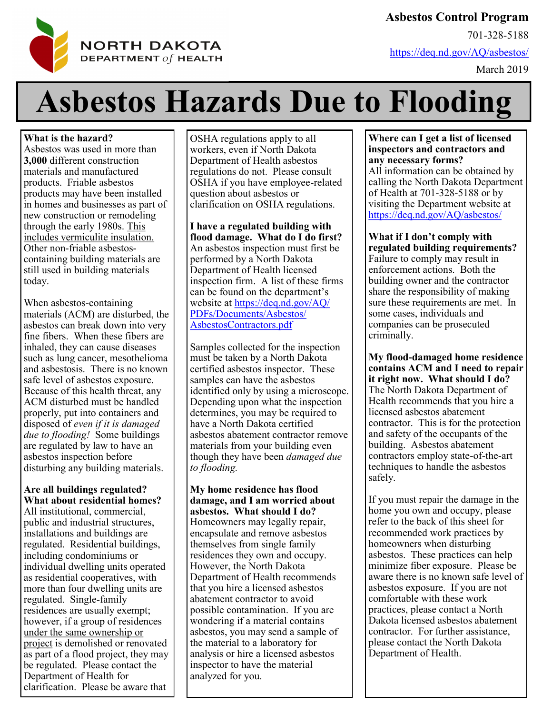

**Asbestos Control Program**

701-328-5188

<https://deq.nd.gov/AQ/asbestos/>

March 2019

# **Asbestos Hazards Due to Flooding**

**What is the hazard?**

Asbestos was used in more than **3,000** different construction materials and manufactured products. Friable asbestos products may have been installed in homes and businesses as part of new construction or remodeling through the early 1980s. This includes vermiculite insulation. Other non-friable asbestoscontaining building materials are still used in building materials today.

When asbestos-containing materials (ACM) are disturbed, the asbestos can break down into very fine fibers. When these fibers are inhaled, they can cause diseases such as lung cancer, mesothelioma and asbestosis. There is no known safe level of asbestos exposure. Because of this health threat, any ACM disturbed must be handled properly, put into containers and disposed of *even if it is damaged due to flooding!* Some buildings are regulated by law to have an asbestos inspection before disturbing any building materials.

## **Are all buildings regulated? What about residential homes?**

All institutional, commercial, public and industrial structures, installations and buildings are regulated. Residential buildings, including condominiums or individual dwelling units operated as residential cooperatives, with more than four dwelling units are regulated. Single-family residences are usually exempt; however, if a group of residences under the same ownership or project is demolished or renovated as part of a flood project, they may be regulated. Please contact the Department of Health for clarification. Please be aware that

OSHA regulations apply to all workers, even if North Dakota Department of Health asbestos regulations do not. Please consult OSHA if you have employee-related question about asbestos or clarification on OSHA regulations.

**I have a regulated building with flood damage. What do I do first?** An asbestos inspection must first be performed by a North Dakota Department of Health licensed inspection firm. A list of these firms can be found on the department's website at [https://deq.nd.gov/AQ/](https://deq.nd.gov/AQ/PDFs/Documents/Asbestos/AsbestosContractors.pdf) [PDFs/Documents/Asbestos/](https://deq.nd.gov/AQ/PDFs/Documents/Asbestos/AsbestosContractors.pdf) [AsbestosContractors.pdf](https://deq.nd.gov/AQ/PDFs/Documents/Asbestos/AsbestosContractors.pdf)

Samples collected for the inspection must be taken by a North Dakota certified asbestos inspector. These samples can have the asbestos identified only by using a microscope. Depending upon what the inspection determines, you may be required to have a North Dakota certified asbestos abatement contractor remove materials from your building even though they have been *damaged due to flooding.* 

**My home residence has flood damage, and I am worried about asbestos. What should I do?** Homeowners may legally repair, encapsulate and remove asbestos themselves from single family residences they own and occupy. However, the North Dakota Department of Health recommends that you hire a licensed asbestos abatement contractor to avoid possible contamination. If you are wondering if a material contains asbestos, you may send a sample of the material to a laboratory for analysis or hire a licensed asbestos inspector to have the material analyzed for you.

## **Where can I get a list of licensed inspectors and contractors and any necessary forms?**

All information can be obtained by calling the North Dakota Department of Health at 701-328-5188 or by visiting the Department website at <https://deq.nd.gov/AQ/asbestos/>

**What if I don't comply with regulated building requirements?** Failure to comply may result in enforcement actions. Both the building owner and the contractor share the responsibility of making sure these requirements are met. In some cases, individuals and companies can be prosecuted criminally.

**My flood-damaged home residence contains ACM and I need to repair it right now. What should I do?** The North Dakota Department of Health recommends that you hire a licensed asbestos abatement contractor. This is for the protection and safety of the occupants of the building. Asbestos abatement contractors employ state-of-the-art techniques to handle the asbestos safely.

If you must repair the damage in the home you own and occupy, please refer to the back of this sheet for recommended work practices by homeowners when disturbing asbestos. These practices can help minimize fiber exposure. Please be aware there is no known safe level of asbestos exposure. If you are not comfortable with these work practices, please contact a North Dakota licensed asbestos abatement contractor. For further assistance, please contact the North Dakota Department of Health.